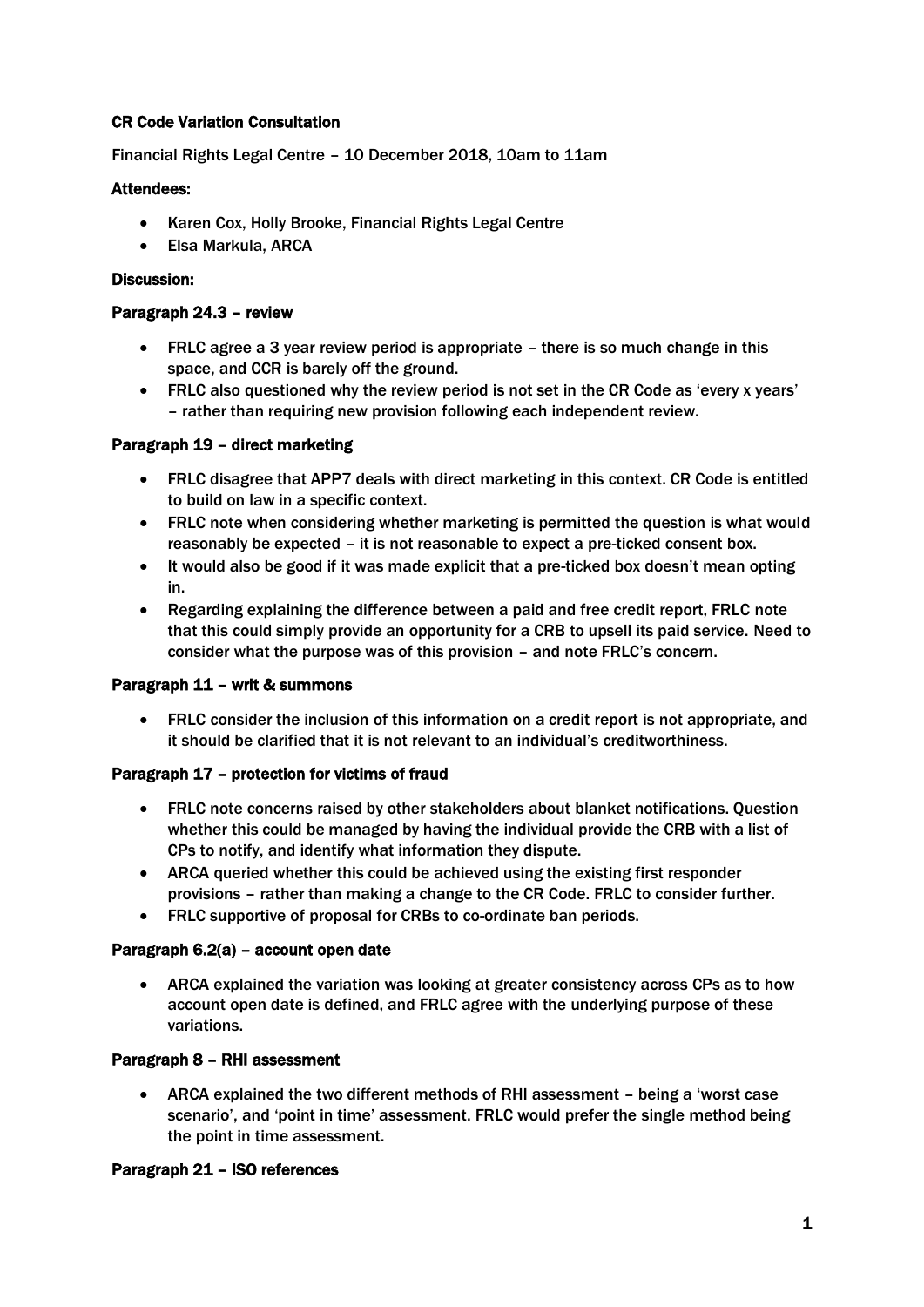# CR Code Variation Consultation

Financial Rights Legal Centre – 10 December 2018, 10am to 11am

### Attendees:

- Karen Cox, Holly Brooke, Financial Rights Legal Centre
- Elsa Markula, ARCA

#### Discussion:

#### Paragraph 24.3 – review

- FRLC agree a 3 year review period is appropriate there is so much change in this space, and CCR is barely off the ground.
- FRLC also questioned why the review period is not set in the CR Code as 'every x years' – rather than requiring new provision following each independent review.

#### Paragraph 19 – direct marketing

- FRLC disagree that APP7 deals with direct marketing in this context. CR Code is entitled to build on law in a specific context.
- FRLC note when considering whether marketing is permitted the question is what would reasonably be expected – it is not reasonable to expect a pre-ticked consent box.
- It would also be good if it was made explicit that a pre-ticked box doesn't mean opting in.
- Regarding explaining the difference between a paid and free credit report, FRLC note that this could simply provide an opportunity for a CRB to upsell its paid service. Need to consider what the purpose was of this provision – and note FRLC's concern.

#### Paragraph 11 – writ & summons

• FRLC consider the inclusion of this information on a credit report is not appropriate, and it should be clarified that it is not relevant to an individual's creditworthiness.

# Paragraph 17 – protection for victims of fraud

- FRLC note concerns raised by other stakeholders about blanket notifications. Question whether this could be managed by having the individual provide the CRB with a list of CPs to notify, and identify what information they dispute.
- ARCA queried whether this could be achieved using the existing first responder provisions – rather than making a change to the CR Code. FRLC to consider further.
- FRLC supportive of proposal for CRBs to co-ordinate ban periods.

#### Paragraph 6.2(a) – account open date

• ARCA explained the variation was looking at greater consistency across CPs as to how account open date is defined, and FRLC agree with the underlying purpose of these variations.

# Paragraph 8 – RHI assessment

• ARCA explained the two different methods of RHI assessment – being a 'worst case scenario', and 'point in time' assessment. FRLC would prefer the single method being the point in time assessment.

# Paragraph 21 – ISO references